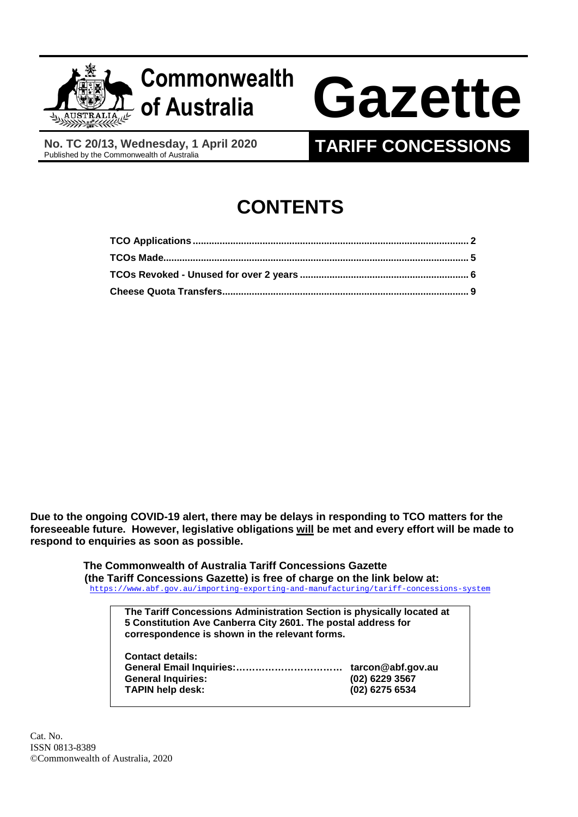

# **of Australia Gazette**

**No. TC 20/13, Wednesday, 1 April 2020** 

# **TARIFF CONCESSIONS**

# **CONTENTS**

**Due to the ongoing COVID-19 alert, there may be delays in responding to TCO matters for the foreseeable future. However, legislative obligations will be met and every effort will be made to respond to enquiries as soon as possible.** 

> **The Commonwealth of Australia Tariff Concessions Gazette (the Tariff Concessions Gazette) is free of charge on the link below at:**  <https://www.abf.gov.au/importing-exporting-and-manufacturing/tariff-concessions-system>

> > **The Tariff Concessions Administration Section is physically located at 5 Constitution Ave Canberra City 2601. The postal address for correspondence is shown in the relevant forms.**

| <b>Contact details:</b>   |                   |
|---------------------------|-------------------|
|                           | tarcon@abf.gov.au |
| <b>General Inquiries:</b> | (02) 6229 3567    |
| <b>TAPIN help desk:</b>   | (02) 6275 6534    |

Cat. No. ISSN 0813-8389 ©Commonwealth of Australia, 2020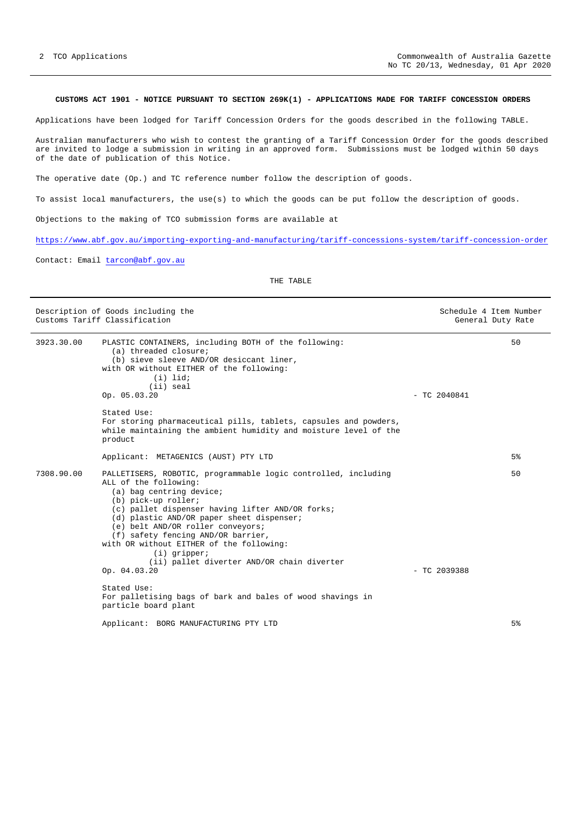## <span id="page-1-0"></span>**CUSTOMS ACT 1901 - NOTICE PURSUANT TO SECTION 269K(1) - APPLICATIONS MADE FOR TARIFF CONCESSION ORDERS**

Applications have been lodged for Tariff Concession Orders for the goods described in the following TABLE.

Australian manufacturers who wish to contest the granting of a Tariff Concession Order for the goods described are invited to lodge a submission in writing in an approved form. Submissions must be lodged within 50 days of the date of publication of this Notice.

The operative date (Op.) and TC reference number follow the description of goods.

To assist local manufacturers, the use(s) to which the goods can be put follow the description of goods.

Objections to the making of TCO submission forms are available at

<https://www.abf.gov.au/importing-exporting-and-manufacturing/tariff-concessions-system/tariff-concession-order>

Contact: Email [tarcon@abf.gov.au](mailto:tarcon@abf.gov.au)

THE TABLE

| Description of Goods including the<br>Customs Tariff Classification |                                                                                                                                                                                                                                                                                                                                                                                                                                                    | Schedule 4 Item Number<br>General Duty Rate |                |
|---------------------------------------------------------------------|----------------------------------------------------------------------------------------------------------------------------------------------------------------------------------------------------------------------------------------------------------------------------------------------------------------------------------------------------------------------------------------------------------------------------------------------------|---------------------------------------------|----------------|
| 3923.30.00                                                          | PLASTIC CONTAINERS, including BOTH of the following:<br>(a) threaded closure;<br>(b) sieve sleeve AND/OR desiccant liner,<br>with OR without EITHER of the following:<br>$(i)$ lid;<br>(ii) seal<br>Op. 05.03.20                                                                                                                                                                                                                                   | $-$ TC 2040841                              | 50             |
|                                                                     | Stated Use:<br>For storing pharmaceutical pills, tablets, capsules and powders,<br>while maintaining the ambient humidity and moisture level of the<br>product                                                                                                                                                                                                                                                                                     |                                             |                |
|                                                                     | Applicant: METAGENICS (AUST) PTY LTD                                                                                                                                                                                                                                                                                                                                                                                                               |                                             | 5 <sup>°</sup> |
| 7308.90.00                                                          | PALLETISERS, ROBOTIC, programmable logic controlled, including<br>ALL of the following:<br>(a) bag centring device;<br>(b) pick-up roller;<br>(c) pallet dispenser having lifter AND/OR forks;<br>(d) plastic AND/OR paper sheet dispenser;<br>(e) belt AND/OR roller conveyors;<br>(f) safety fencing AND/OR barrier,<br>with OR without EITHER of the following:<br>$(i)$ gripper;<br>(ii) pallet diverter AND/OR chain diverter<br>Op. 04.03.20 | $-$ TC 2039388                              | 50             |
|                                                                     | Stated Use:<br>For palletising bags of bark and bales of wood shavings in<br>particle board plant                                                                                                                                                                                                                                                                                                                                                  |                                             |                |
|                                                                     | Applicant: BORG MANUFACTURING PTY LTD                                                                                                                                                                                                                                                                                                                                                                                                              |                                             | 5%             |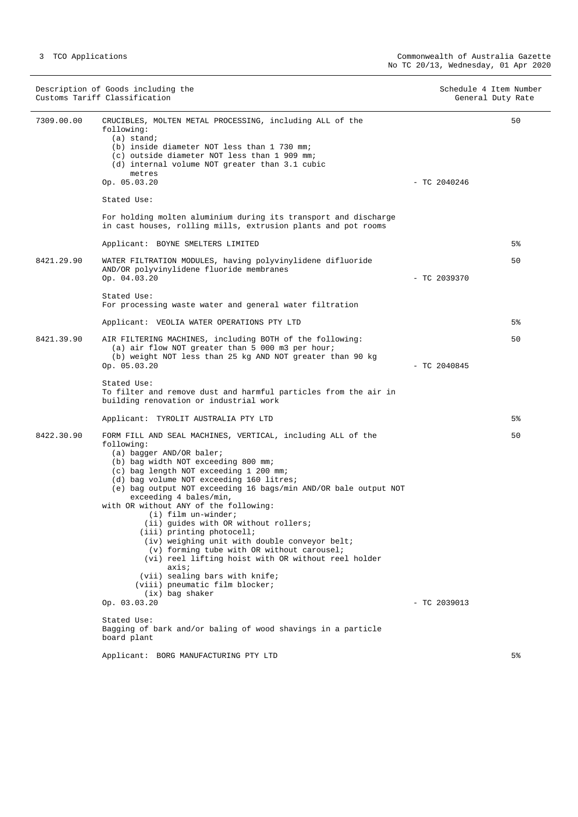Description of Goods including the Schedule 4 Item Number<br>
Customs Tariff Classification (Senetal Duty Rate) Customs Tariff Classification 7309.00.00 CRUCIBLES, MOLTEN METAL PROCESSING, including ALL of the following: (a) stand; (b) inside diameter NOT less than 1 730 mm; (c) outside diameter NOT less than 1 909 mm; (d) internal volume NOT greater than 3.1 cubic metres Op. 05.03.20 - TC 2040246 Stated Use: For holding molten aluminium during its transport and discharge in cast houses, rolling mills, extrusion plants and pot rooms Applicant: BOYNE SMELTERS LIMITED 50 5% 8421.29.90 WATER FILTRATION MODULES, having polyvinylidene difluoride AND/OR polyvinylidene fluoride membranes  $-$  TC 2039370 Stated Use: For processing waste water and general water filtration Applicant: VEOLIA WATER OPERATIONS PTY LTD 50 5% 8421.39.90 AIR FILTERING MACHINES, including BOTH of the following: (a) air flow NOT greater than 5 000 m3 per hour; (b) weight NOT less than 25 kg AND NOT greater than 90 kg  $\infty$  05.03.20  $-$  TC 2040845 Stated Use: To filter and remove dust and harmful particles from the air in building renovation or industrial work Applicant: TYROLIT AUSTRALIA PTY LTD  $50$ 5% 8422.30.90 FORM FILL AND SEAL MACHINES, VERTICAL, including ALL of the following: (a) bagger AND/OR baler; (b) bag width NOT exceeding 800 mm; (c) bag length NOT exceeding 1 200 mm; (d) bag volume NOT exceeding 160 litres; (e) bag output NOT exceeding 16 bags/min AND/OR bale output NOT exceeding 4 bales/min, with OR without ANY of the following: (i) film un-winder; (ii) guides with OR without rollers; (iii) printing photocell; (iv) weighing unit with double conveyor belt; (v) forming tube with OR without carousel; (vi) reel lifting hoist with OR without reel holder axis; (vii) sealing bars with knife; (viii) pneumatic film blocker; (ix) bag shaker  $\sigma$   $\sigma$   $\sim$  03.03.20  $\sim$  TC 2039013 Stated Use: Bagging of bark and/or baling of wood shavings in a particle board plant Applicant: BORG MANUFACTURING PTY LTD 50 5%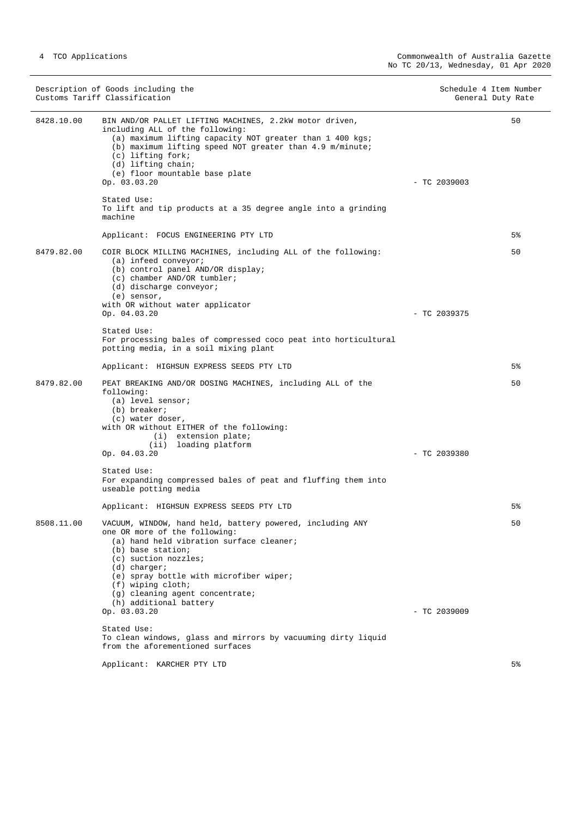|            | Description of Goods including the<br>Customs Tariff Classification                                                                                                                                                                                                                                                                | Schedule 4 Item Number | General Duty Rate |
|------------|------------------------------------------------------------------------------------------------------------------------------------------------------------------------------------------------------------------------------------------------------------------------------------------------------------------------------------|------------------------|-------------------|
| 8428.10.00 | BIN AND/OR PALLET LIFTING MACHINES, 2.2kW motor driven,<br>including ALL of the following:<br>(a) maximum lifting capacity NOT greater than 1 400 kgs;<br>(b) maximum lifting speed NOT greater than 4.9 m/minute;<br>(c) lifting fork;<br>(d) lifting chain;<br>(e) floor mountable base plate<br>Op. 03.03.20                    | $-$ TC 2039003         | 50                |
|            | Stated Use:<br>To lift and tip products at a 35 degree angle into a grinding<br>machine                                                                                                                                                                                                                                            |                        |                   |
|            | Applicant: FOCUS ENGINEERING PTY LTD                                                                                                                                                                                                                                                                                               |                        | $5\%$             |
| 8479.82.00 | COIR BLOCK MILLING MACHINES, including ALL of the following:<br>$(a)$ infeed conveyor;<br>(b) control panel AND/OR display;<br>(c) chamber AND/OR tumbler;<br>(d) discharge conveyor;<br>(e) sensor,<br>with OR without water applicator                                                                                           |                        | 50                |
|            | Op. 04.03.20                                                                                                                                                                                                                                                                                                                       | $-$ TC 2039375         |                   |
|            | Stated Use:<br>For processing bales of compressed coco peat into horticultural<br>potting media, in a soil mixing plant                                                                                                                                                                                                            |                        |                   |
|            | Applicant: HIGHSUN EXPRESS SEEDS PTY LTD                                                                                                                                                                                                                                                                                           |                        | 5%                |
| 8479.82.00 | PEAT BREAKING AND/OR DOSING MACHINES, including ALL of the<br>following:<br>(a) level sensor;<br>$(b)$ breaker;<br>(c) water doser,<br>with OR without EITHER of the following:<br>(i) extension plate;<br>(ii) loading platform<br>Op. 04.03.20                                                                                   | $-$ TC 2039380         | 50                |
|            | Stated Use:                                                                                                                                                                                                                                                                                                                        |                        |                   |
|            | For expanding compressed bales of peat and fluffing them into<br>useable potting media                                                                                                                                                                                                                                             |                        |                   |
|            | Applicant: HIGHSUN EXPRESS SEEDS PTY LTD                                                                                                                                                                                                                                                                                           |                        | 5%                |
| 8508.11.00 | VACUUM, WINDOW, hand held, battery powered, including ANY<br>one OR more of the following:<br>(a) hand held vibration surface cleaner;<br>(b) base station;<br>(c) suction nozzles;<br>$(d)$ charger;<br>(e) spray bottle with microfiber wiper;<br>(f) wiping cloth;<br>(g) cleaning agent concentrate;<br>(h) additional battery |                        | 50                |
|            | Op. 03.03.20                                                                                                                                                                                                                                                                                                                       | $-$ TC 2039009         |                   |
|            | Stated Use:<br>To clean windows, glass and mirrors by vacuuming dirty liquid<br>from the aforementioned surfaces                                                                                                                                                                                                                   |                        |                   |
|            | Applicant: KARCHER PTY LTD                                                                                                                                                                                                                                                                                                         |                        | 5%                |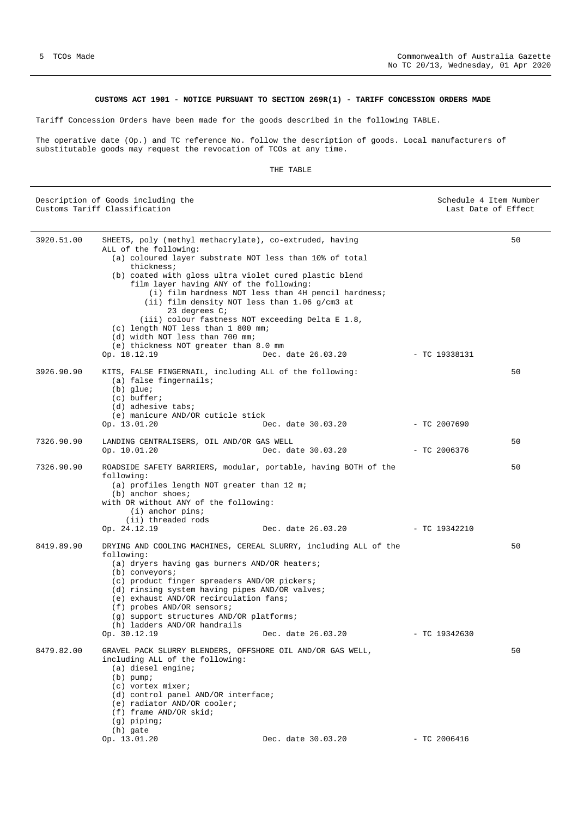# **CUSTOMS ACT 1901 - NOTICE PURSUANT TO SECTION 269R(1) - TARIFF CONCESSION ORDERS MADE**

<span id="page-4-0"></span>Tariff Concession Orders have been made for the goods described in the following TABLE.

The operative date (Op.) and TC reference No. follow the description of goods. Local manufacturers of substitutable goods may request the revocation of TCOs at any time.

# THE TABLE

| 50<br>3920.51.00<br>SHEETS, poly (methyl methacrylate), co-extruded, having<br>ALL of the following:<br>(a) coloured layer substrate NOT less than 10% of total<br>thickness;<br>(b) coated with gloss ultra violet cured plastic blend<br>film layer having ANY of the following:<br>(i) film hardness NOT less than 4H pencil hardness;<br>(ii) film density NOT less than 1.06 g/cm3 at<br>23 degrees $C_i$<br>(iii) colour fastness NOT exceeding Delta E 1.8,<br>(c) length NOT less than 1 800 mm;<br>(d) width NOT less than 700 mm;<br>(e) thickness NOT greater than 8.0 mm<br>Op. 18.12.19<br>Dec. date 26.03.20<br>- TC 19338131<br>3926.90.90<br>50<br>KITS, FALSE FINGERNAIL, including ALL of the following:<br>(a) false fingernails;<br>$(b)$ glue;<br>$(c)$ buffer;<br>(d) adhesive tabs;<br>(e) manicure AND/OR cuticle stick<br>Op. 13.01.20<br>Dec. date 30.03.20<br>- TC 2007690<br>7326.90.90<br>50<br>LANDING CENTRALISERS, OIL AND/OR GAS WELL<br>Dec. date 30.03.20<br>Op. 10.01.20<br>$-$ TC 2006376<br>7326.90.90<br>50<br>ROADSIDE SAFETY BARRIERS, modular, portable, having BOTH of the<br>following:<br>(a) profiles length NOT greater than 12 m;<br>$(b)$ anchor shoes;<br>with OR without ANY of the following:<br>$(i)$ anchor pins;<br>(ii) threaded rods<br>Op. 24.12.19<br>Dec. date 26.03.20<br>- TC 19342210<br>8419.89.90<br>50<br>DRYING AND COOLING MACHINES, CEREAL SLURRY, including ALL of the<br>following:<br>(a) dryers having gas burners AND/OR heaters;<br>$(b)$ conveyors;<br>(c) product finger spreaders AND/OR pickers;<br>(d) rinsing system having pipes AND/OR valves;<br>(e) exhaust AND/OR recirculation fans;<br>(f) probes AND/OR sensors;<br>(g) support structures AND/OR platforms;<br>(h) ladders AND/OR handrails<br>Op. 30.12.19<br>Dec. date 26.03.20<br>- TC 19342630<br>50<br>8479.82.00<br>GRAVEL PACK SLURRY BLENDERS, OFFSHORE OIL AND/OR GAS WELL,<br>including ALL of the following:<br>(a) diesel engine;<br>$(b)$ pump;<br>(c) vortex mixer;<br>(d) control panel AND/OR interface;<br>(e) radiator AND/OR cooler; | Description of Goods including the<br>Customs Tariff Classification | Schedule 4 Item Number<br>Last Date of Effect |  |
|---------------------------------------------------------------------------------------------------------------------------------------------------------------------------------------------------------------------------------------------------------------------------------------------------------------------------------------------------------------------------------------------------------------------------------------------------------------------------------------------------------------------------------------------------------------------------------------------------------------------------------------------------------------------------------------------------------------------------------------------------------------------------------------------------------------------------------------------------------------------------------------------------------------------------------------------------------------------------------------------------------------------------------------------------------------------------------------------------------------------------------------------------------------------------------------------------------------------------------------------------------------------------------------------------------------------------------------------------------------------------------------------------------------------------------------------------------------------------------------------------------------------------------------------------------------------------------------------------------------------------------------------------------------------------------------------------------------------------------------------------------------------------------------------------------------------------------------------------------------------------------------------------------------------------------------------------------------------------------------------------------------------------------------------------------------------------------------------------|---------------------------------------------------------------------|-----------------------------------------------|--|
|                                                                                                                                                                                                                                                                                                                                                                                                                                                                                                                                                                                                                                                                                                                                                                                                                                                                                                                                                                                                                                                                                                                                                                                                                                                                                                                                                                                                                                                                                                                                                                                                                                                                                                                                                                                                                                                                                                                                                                                                                                                                                                   |                                                                     |                                               |  |
|                                                                                                                                                                                                                                                                                                                                                                                                                                                                                                                                                                                                                                                                                                                                                                                                                                                                                                                                                                                                                                                                                                                                                                                                                                                                                                                                                                                                                                                                                                                                                                                                                                                                                                                                                                                                                                                                                                                                                                                                                                                                                                   |                                                                     |                                               |  |
|                                                                                                                                                                                                                                                                                                                                                                                                                                                                                                                                                                                                                                                                                                                                                                                                                                                                                                                                                                                                                                                                                                                                                                                                                                                                                                                                                                                                                                                                                                                                                                                                                                                                                                                                                                                                                                                                                                                                                                                                                                                                                                   |                                                                     |                                               |  |
|                                                                                                                                                                                                                                                                                                                                                                                                                                                                                                                                                                                                                                                                                                                                                                                                                                                                                                                                                                                                                                                                                                                                                                                                                                                                                                                                                                                                                                                                                                                                                                                                                                                                                                                                                                                                                                                                                                                                                                                                                                                                                                   |                                                                     |                                               |  |
|                                                                                                                                                                                                                                                                                                                                                                                                                                                                                                                                                                                                                                                                                                                                                                                                                                                                                                                                                                                                                                                                                                                                                                                                                                                                                                                                                                                                                                                                                                                                                                                                                                                                                                                                                                                                                                                                                                                                                                                                                                                                                                   |                                                                     |                                               |  |
| $(g)$ piping;<br>(h) gate<br>Op. 13.01.20<br>Dec. date 30.03.20<br>$-$ TC 2006416                                                                                                                                                                                                                                                                                                                                                                                                                                                                                                                                                                                                                                                                                                                                                                                                                                                                                                                                                                                                                                                                                                                                                                                                                                                                                                                                                                                                                                                                                                                                                                                                                                                                                                                                                                                                                                                                                                                                                                                                                 | (f) frame AND/OR skid;                                              |                                               |  |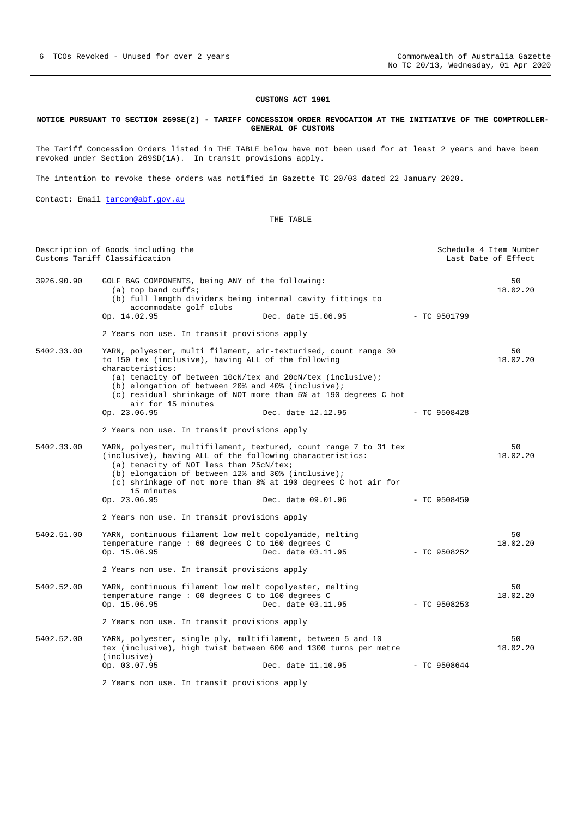## **CUSTOMS ACT 1901**

#### <span id="page-5-0"></span>**NOTICE PURSUANT TO SECTION 269SE(2) - TARIFF CONCESSION ORDER REVOCATION AT THE INITIATIVE OF THE COMPTROLLER-GENERAL OF CUSTOMS**

The Tariff Concession Orders listed in THE TABLE below have not been used for at least 2 years and have been revoked under Section 269SD(1A). In transit provisions apply.

The intention to revoke these orders was notified in Gazette TC 20/03 dated 22 January 2020.

Contact: Email [tarcon@abf.gov.au](mailto:tarcon@abf.gov.au)

THE TABLE

|            | Description of Goods including the<br>Customs Tariff Classification                                                                                                                         |                                                                                                                                     |                | Schedule 4 Item Number<br>Last Date of Effect |
|------------|---------------------------------------------------------------------------------------------------------------------------------------------------------------------------------------------|-------------------------------------------------------------------------------------------------------------------------------------|----------------|-----------------------------------------------|
| 3926.90.90 | GOLF BAG COMPONENTS, being ANY of the following:<br>$(a)$ top band cuffs;<br>(b) full length dividers being internal cavity fittings to<br>accommodate golf clubs<br>Op. 14.02.95           | Dec. date 15.06.95                                                                                                                  | $-$ TC 9501799 | 50<br>18.02.20                                |
|            | 2 Years non use. In transit provisions apply                                                                                                                                                |                                                                                                                                     |                |                                               |
| 5402.33.00 | to 150 tex (inclusive), having ALL of the following<br>characteristics:<br>(a) tenacity of between 10cN/tex and 20cN/tex (inclusive);<br>(b) elongation of between 20% and 40% (inclusive); | YARN, polyester, multi filament, air-texturised, count range 30                                                                     |                | 50<br>18.02.20                                |
|            | air for 15 minutes                                                                                                                                                                          | (c) residual shrinkage of NOT more than 5% at 190 degrees C hot                                                                     |                |                                               |
|            | Op. 23.06.95                                                                                                                                                                                | Dec. date 12.12.95                                                                                                                  | $-$ TC 9508428 |                                               |
|            | 2 Years non use. In transit provisions apply                                                                                                                                                |                                                                                                                                     |                |                                               |
| 5402.33.00 | (inclusive), having ALL of the following characteristics:<br>(a) tenacity of NOT less than 25cN/tex;<br>(b) elongation of between 12% and 30% (inclusive);<br>15 minutes                    | YARN, polyester, multifilament, textured, count range 7 to 31 tex<br>(c) shrinkage of not more than 8% at 190 degrees C hot air for |                | 50<br>18.02.20                                |
|            | Op. 23.06.95                                                                                                                                                                                | Dec. date 09.01.96                                                                                                                  | $-$ TC 9508459 |                                               |
|            | 2 Years non use. In transit provisions apply                                                                                                                                                |                                                                                                                                     |                |                                               |
| 5402.51.00 | YARN, continuous filament low melt copolyamide, melting<br>temperature range : 60 degrees C to 160 degrees C<br>Op. 15.06.95                                                                | Dec. date 03.11.95                                                                                                                  | $-$ TC 9508252 | 50<br>18.02.20                                |
|            | 2 Years non use. In transit provisions apply                                                                                                                                                |                                                                                                                                     |                |                                               |
| 5402.52.00 | YARN, continuous filament low melt copolyester, melting<br>temperature range : 60 degrees C to 160 degrees C<br>Op. 15.06.95                                                                | Dec. date 03.11.95                                                                                                                  | $-$ TC 9508253 | 50<br>18.02.20                                |
|            | 2 Years non use. In transit provisions apply                                                                                                                                                |                                                                                                                                     |                |                                               |
| 5402.52.00 | YARN, polyester, single ply, multifilament, between 5 and 10<br>(inclusive)<br>Op. 03.07.95                                                                                                 | tex (inclusive), high twist between 600 and 1300 turns per metre<br>Dec. date 11.10.95                                              | $-$ TC 9508644 | 50<br>18.02.20                                |
|            |                                                                                                                                                                                             |                                                                                                                                     |                |                                               |

2 Years non use. In transit provisions apply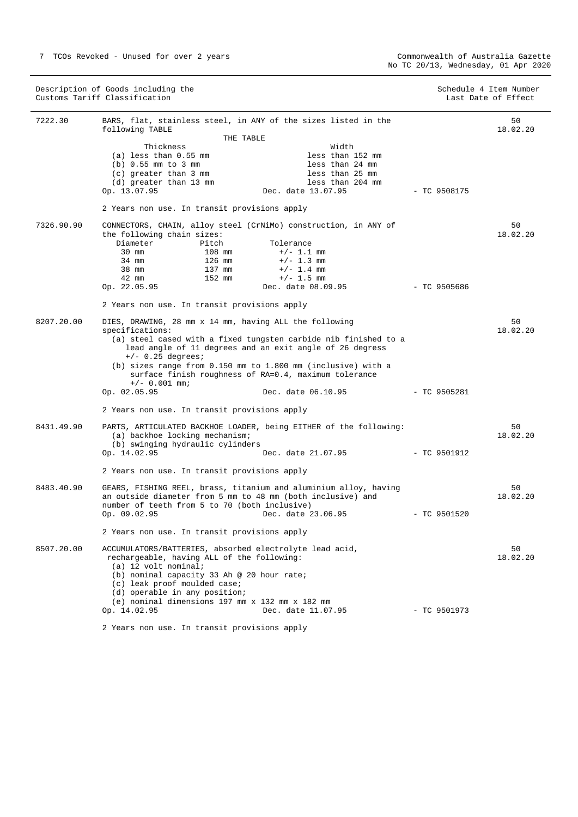|            | Description of Goods including the<br>Customs Tariff Classification                                                   |                    |                | Schedule 4 Item Number<br>Last Date of Effect |
|------------|-----------------------------------------------------------------------------------------------------------------------|--------------------|----------------|-----------------------------------------------|
| 7222.30    | BARS, flat, stainless steel, in ANY of the sizes listed in the<br>following TABLE                                     |                    |                | 50<br>18.02.20                                |
|            | THE TABLE                                                                                                             |                    |                |                                               |
|            | Thickness                                                                                                             | Width              |                |                                               |
|            | $(a)$ less than $0.55$ mm                                                                                             | less than 152 mm   |                |                                               |
|            | $(b) 0.55$ mm to 3 mm                                                                                                 | less than 24 mm    |                |                                               |
|            | $(c)$ greater than 3 mm                                                                                               | less than 25 mm    |                |                                               |
|            | (d) greater than 13 mm                                                                                                | less than 204 mm   |                |                                               |
|            | Op. 13.07.95                                                                                                          | Dec. date 13.07.95 | $-$ TC 9508175 |                                               |
|            | 2 Years non use. In transit provisions apply                                                                          |                    |                |                                               |
| 7326.90.90 | CONNECTORS, CHAIN, alloy steel (CrNiMo) construction, in ANY of                                                       |                    |                | 50                                            |
|            | the following chain sizes:                                                                                            |                    |                | 18.02.20                                      |
|            | Diameter<br>Pitch                                                                                                     | Tolerance          |                |                                               |
|            | 108 mm<br>$30 \text{ mm}$                                                                                             | $+/- 1.1$ mm       |                |                                               |
|            | 126 mm<br>34 mm                                                                                                       | $+/- 1.3$ mm       |                |                                               |
|            | 137 mm<br>38 mm                                                                                                       | $+/- 1.4$ mm       |                |                                               |
|            | 42 mm<br>152 mm                                                                                                       | $+/- 1.5$ mm       |                |                                               |
|            | Op. 22.05.95                                                                                                          | Dec. date 08.09.95 | - TC 9505686   |                                               |
|            | 2 Years non use. In transit provisions apply                                                                          |                    |                |                                               |
|            |                                                                                                                       |                    |                |                                               |
| 8207.20.00 | DIES, DRAWING, 28 mm x 14 mm, having ALL the following                                                                |                    |                | 50                                            |
|            | specifications:                                                                                                       |                    |                | 18.02.20                                      |
|            | (a) steel cased with a fixed tungsten carbide nib finished to a                                                       |                    |                |                                               |
|            | lead angle of 11 degrees and an exit angle of 26 degress                                                              |                    |                |                                               |
|            | $+/-$ 0.25 degrees;                                                                                                   |                    |                |                                               |
|            | (b) sizes range from 0.150 mm to 1.800 mm (inclusive) with a<br>surface finish roughness of RA=0.4, maximum tolerance |                    |                |                                               |
|            | $+/- 0.001$ mm;                                                                                                       |                    |                |                                               |
|            | Op. 02.05.95                                                                                                          | Dec. date 06.10.95 | $-$ TC 9505281 |                                               |
|            |                                                                                                                       |                    |                |                                               |
|            | 2 Years non use. In transit provisions apply                                                                          |                    |                |                                               |
| 8431.49.90 | PARTS, ARTICULATED BACKHOE LOADER, being EITHER of the following:                                                     |                    |                | 50                                            |
|            | (a) backhoe locking mechanism;                                                                                        |                    |                | 18.02.20                                      |
|            | (b) swinging hydraulic cylinders                                                                                      |                    |                |                                               |
|            | Op. 14.02.95                                                                                                          | Dec. date 21.07.95 | $-$ TC 9501912 |                                               |
|            |                                                                                                                       |                    |                |                                               |
|            | 2 Years non use. In transit provisions apply                                                                          |                    |                |                                               |
| 8483.40.90 | GEARS, FISHING REEL, brass, titanium and aluminium alloy, having                                                      |                    |                | 50                                            |
|            | an outside diameter from 5 mm to 48 mm (both inclusive) and                                                           |                    |                | 18.02.20                                      |
|            | number of teeth from 5 to 70 (both inclusive)                                                                         |                    |                |                                               |
|            | Op. 09.02.95                                                                                                          | Dec. date 23.06.95 | $-$ TC 9501520 |                                               |
|            | 2 Years non use. In transit provisions apply                                                                          |                    |                |                                               |
| 8507.20.00 |                                                                                                                       |                    |                |                                               |
|            | ACCUMULATORS/BATTERIES, absorbed electrolyte lead acid,                                                               |                    |                | 50                                            |
|            | rechargeable, having ALL of the following:                                                                            |                    |                | 18.02.20                                      |
|            | $(a)$ 12 volt nominal;                                                                                                |                    |                |                                               |
|            | (b) nominal capacity 33 Ah @ 20 hour rate;                                                                            |                    |                |                                               |
|            | (c) leak proof moulded case;                                                                                          |                    |                |                                               |
|            | (d) operable in any position;                                                                                         |                    |                |                                               |
|            | (e) nominal dimensions 197 mm x 132 mm x 182 mm                                                                       |                    |                |                                               |
|            | Op. 14.02.95                                                                                                          | Dec. date 11.07.95 | $-$ TC 9501973 |                                               |
|            | 2 Years non use. In transit provisions apply                                                                          |                    |                |                                               |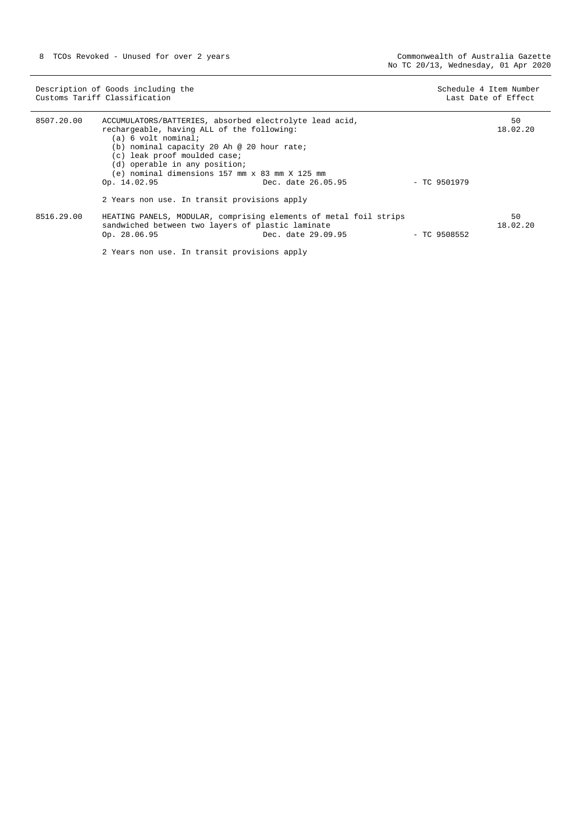|            | Description of Goods including the<br>Customs Tariff Classification                                                                                                                                                                                                                                           |                    |                | Schedule 4 Item Number<br>Last Date of Effect |
|------------|---------------------------------------------------------------------------------------------------------------------------------------------------------------------------------------------------------------------------------------------------------------------------------------------------------------|--------------------|----------------|-----------------------------------------------|
| 8507.20.00 | ACCUMULATORS/BATTERIES, absorbed electrolyte lead acid,<br>rechargeable, having ALL of the following:<br>(a) 6 volt nominal;<br>(b) nominal capacity 20 Ah @ 20 hour rate;<br>(c) leak proof moulded case;<br>(d) operable in any position;<br>(e) nominal dimensions 157 mm x 83 mm X 125 mm<br>Op. 14.02.95 | Dec. date 26.05.95 | - TC 9501979   | 50<br>18.02.20                                |
|            | 2 Years non use. In transit provisions apply                                                                                                                                                                                                                                                                  |                    |                |                                               |
| 8516.29.00 | HEATING PANELS, MODULAR, comprising elements of metal foil strips<br>sandwiched between two layers of plastic laminate<br>Op. 28.06.95                                                                                                                                                                        | Dec. date 29.09.95 | $-$ TC 9508552 | 50<br>18.02.20                                |

2 Years non use. In transit provisions apply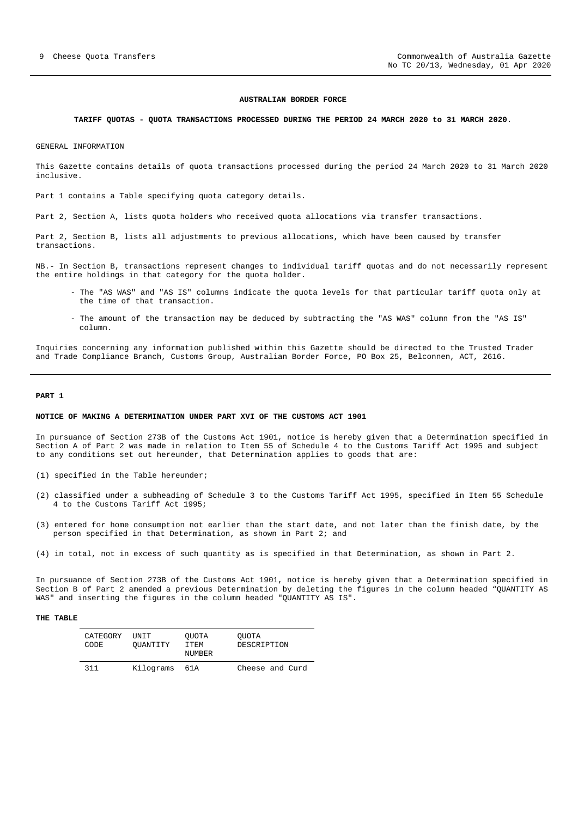#### **AUSTRALIAN BORDER FORCE**

#### <span id="page-8-0"></span>**TARIFF QUOTAS - QUOTA TRANSACTIONS PROCESSED DURING THE PERIOD 24 MARCH 2020 to 31 MARCH 2020.**

GENERAL INFORMATION

This Gazette contains details of quota transactions processed during the period 24 March 2020 to 31 March 2020 inclusive.

Part 1 contains a Table specifying quota category details.

Part 2, Section A, lists quota holders who received quota allocations via transfer transactions.

Part 2, Section B, lists all adjustments to previous allocations, which have been caused by transfer transactions.

NB.- In Section B, transactions represent changes to individual tariff quotas and do not necessarily represent the entire holdings in that category for the quota holder.

- The "AS WAS" and "AS IS" columns indicate the quota levels for that particular tariff quota only at the time of that transaction.
- The amount of the transaction may be deduced by subtracting the "AS WAS" column from the "AS IS" column.

Inquiries concerning any information published within this Gazette should be directed to the Trusted Trader and Trade Compliance Branch, Customs Group, Australian Border Force, PO Box 25, Belconnen, ACT, 2616.

#### **PART 1**

#### **NOTICE OF MAKING A DETERMINATION UNDER PART XVI OF THE CUSTOMS ACT 1901**

In pursuance of Section 273B of the Customs Act 1901, notice is hereby given that a Determination specified in Section A of Part 2 was made in relation to Item 55 of Schedule 4 to the Customs Tariff Act 1995 and subject to any conditions set out hereunder, that Determination applies to goods that are:

- (1) specified in the Table hereunder;
- (2) classified under a subheading of Schedule 3 to the Customs Tariff Act 1995, specified in Item 55 Schedule 4 to the Customs Tariff Act 1995;
- (3) entered for home consumption not earlier than the start date, and not later than the finish date, by the person specified in that Determination, as shown in Part 2; and
- (4) in total, not in excess of such quantity as is specified in that Determination, as shown in Part 2.

In pursuance of Section 273B of the Customs Act 1901, notice is hereby given that a Determination specified in Section B of Part 2 amended a previous Determination by deleting the figures in the column headed "QUANTITY AS WAS" and inserting the figures in the column headed "QUANTITY AS IS".

#### **THE TABLE**

| CATEGORY<br>CODE | UNIT<br>OUANTITY | OUOTA<br>TTEM.<br><b>NUMBER</b> | OUOTA<br>DESCRIPTION |
|------------------|------------------|---------------------------------|----------------------|
| 311              | Kilograms        | 61A                             | Cheese and Curd      |